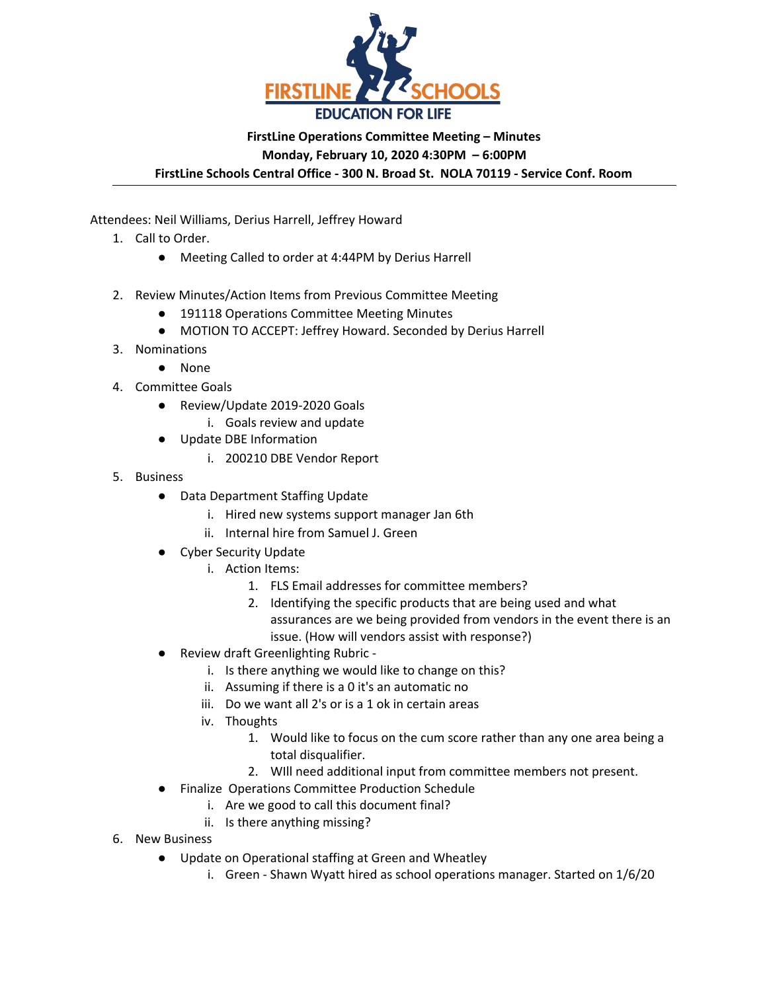

# **FirstLine Operations Committee Meeting – Minutes Monday, February 10, 2020 4:30PM – 6:00PM**

**FirstLine Schools Central Office - 300 N. Broad St. NOLA 70119 - Service Conf. Room**

Attendees: Neil Williams, Derius Harrell, Jeffrey Howard

- 1. Call to Order.
	- Meeting Called to order at 4:44PM by Derius Harrell
- 2. Review Minutes/Action Items from Previous Committee Meeting
	- 191118 Operations Committee Meeting Minutes
	- MOTION TO ACCEPT: Jeffrey Howard. Seconded by Derius Harrell
- 3. Nominations
	- None
- 4. Committee Goals
	- Review/Update 2019-2020 Goals
		- i. Goals review and update
	- Update DBE Information
		- i. 200210 DBE Vendor Report
- 5. Business
	- Data Department Staffing Update
		- i. Hired new systems support manager Jan 6th
		- ii. Internal hire from Samuel J. Green
	- **Cyber Security Update** 
		- i. Action Items:
			- 1. FLS Email addresses for committee members?
			- 2. Identifying the specific products that are being used and what assurances are we being provided from vendors in the event there is an issue. (How will vendors assist with response?)
	- **Review draft Greenlighting Rubric** 
		- i. Is there anything we would like to change on this?
		- ii. Assuming if there is a 0 it's an automatic no
		- iii. Do we want all 2's or is a 1 ok in certain areas
		- iv. Thoughts
			- 1. Would like to focus on the cum score rather than any one area being a total disqualifier.
			- 2. WIll need additional input from committee members not present.
	- Finalize Operations Committee Production Schedule
		- i. Are we good to call this document final?
		- ii. Is there anything missing?
- 6. New Business
	- Update on Operational staffing at Green and Wheatley
		- i. Green Shawn Wyatt hired as school operations manager. Started on 1/6/20